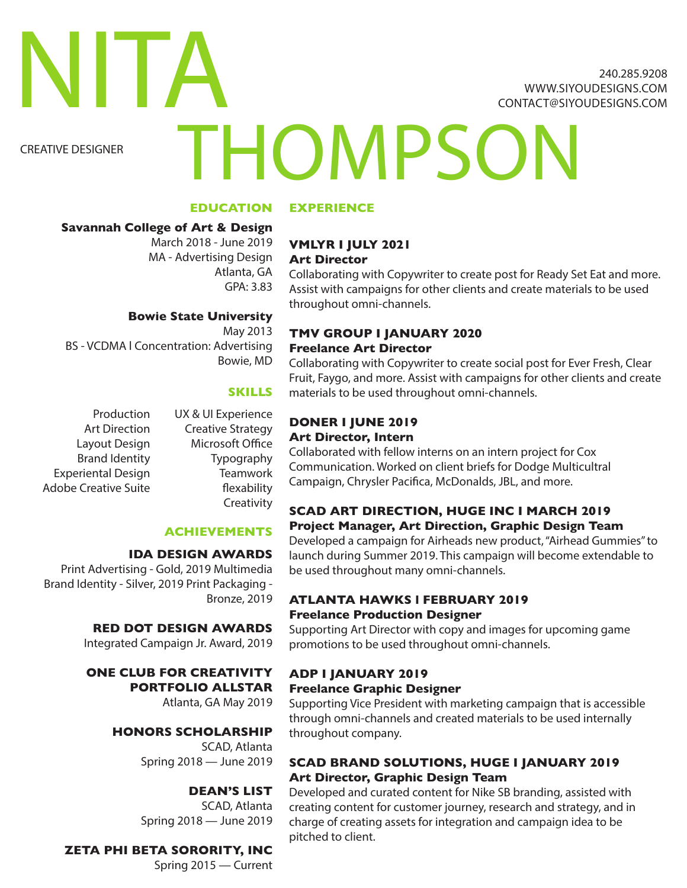240.285.9208 WWW.SIYOUDESIGNS.COM CONTACT@SIYOUDESIGNS.COM

CREATIVE DESIGNER

NITA

# **THOMPSON**

#### **EDUCATION**

#### **Savannah College of Art & Design**

March 2018 - June 2019 MA - Advertising Design Atlanta, GA GPA: 3.83

### **Bowie State University**

May 2013 BS - VCDMA l Concentration: Advertising Bowie, MD

#### **SKILLS**

Production Art Direction Layout Design Brand Identity Experiental Design Adobe Creative Suite

UX & UI Experience Creative Strategy Microsoft Office **Typography Teamwork** flexability Creativity

#### **ACHIEVEMENTS**

#### **IDA DESIGN AWARDS**

Print Advertising - Gold, 2019 Multimedia Brand Identity - Silver, 2019 Print Packaging - Bronze, 2019

#### **RED DOT DESIGN AWARDS**

Integrated Campaign Jr. Award, 2019

#### **ONE CLUB FOR CREATIVITY PORTFOLIO ALLSTAR**

Atlanta, GA May 2019

#### **HONORS SCHOLARSHIP**

SCAD, Atlanta Spring 2018 — June 2019

#### **DEAN'S LIST**

SCAD, Atlanta Spring 2018 — June 2019

#### **ZETA PHI BETA SORORITY, INC**

Spring 2015 — Current

# **EXPERIENCE**

#### **VMLYR I JULY 2021 Art Director**

Collaborating with Copywriter to create post for Ready Set Eat and more. Assist with campaigns for other clients and create materials to be used throughout omni-channels.

#### **TMV GROUP I JANUARY 2020 Freelance Art Director**

Collaborating with Copywriter to create social post for Ever Fresh, Clear Fruit, Faygo, and more. Assist with campaigns for other clients and create materials to be used throughout omni-channels.

#### **DONER I JUNE 2019 Art Director, Intern**

Collaborated with fellow interns on an intern project for Cox Communication. Worked on client briefs for Dodge Multicultral Campaign, Chrysler Pacifica, McDonalds, JBL, and more.

#### **SCAD ART DIRECTION, HUGE INC I MARCH 2019 Project Manager, Art Direction, Graphic Design Team**

Developed a campaign for Airheads new product, "Airhead Gummies" to launch during Summer 2019. This campaign will become extendable to be used throughout many omni-channels.

#### **ATLANTA HAWKS l FEBRUARY 2019 Freelance Production Designer**

Supporting Art Director with copy and images for upcoming game promotions to be used throughout omni-channels.

#### **ADP I JANUARY 2019**

#### **Freelance Graphic Designer**

Supporting Vice President with marketing campaign that is accessible through omni-channels and created materials to be used internally throughout company.

#### **SCAD BRAND SOLUTIONS, HUGE I JANUARY 2019 Art Director, Graphic Design Team**

Developed and curated content for Nike SB branding, assisted with creating content for customer journey, research and strategy, and in charge of creating assets for integration and campaign idea to be pitched to client.